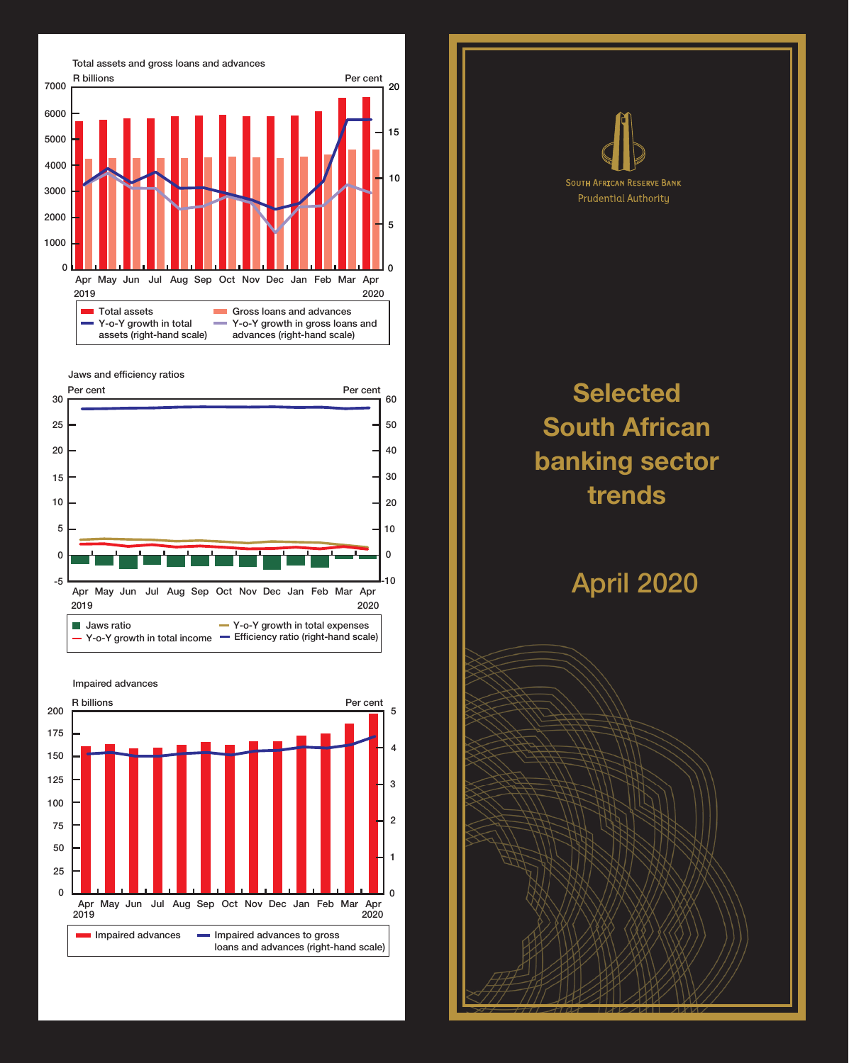